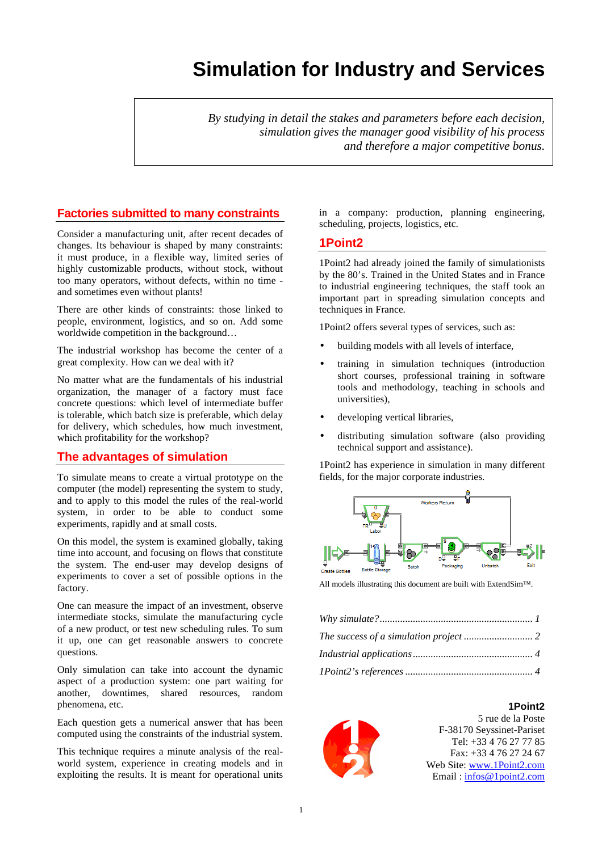# **Simulation for Industry and Services**

*By studying in detail the stakes and parameters before each decision, simulation gives the manager good visibility of his process and therefore a major competitive bonus.* 

# **Factories submitted to many constraints**

Consider a manufacturing unit, after recent decades of changes. Its behaviour is shaped by many constraints: it must produce, in a flexible way, limited series of highly customizable products, without stock, without too many operators, without defects, within no time and sometimes even without plants!

There are other kinds of constraints: those linked to people, environment, logistics, and so on. Add some worldwide competition in the background…

The industrial workshop has become the center of a great complexity. How can we deal with it?

No matter what are the fundamentals of his industrial organization, the manager of a factory must face concrete questions: which level of intermediate buffer is tolerable, which batch size is preferable, which delay for delivery, which schedules, how much investment, which profitability for the workshop?

# **The advantages of simulation**

To simulate means to create a virtual prototype on the computer (the model) representing the system to study, and to apply to this model the rules of the real-world system, in order to be able to conduct some experiments, rapidly and at small costs.

On this model, the system is examined globally, taking time into account, and focusing on flows that constitute the system. The end-user may develop designs of experiments to cover a set of possible options in the factory.

One can measure the impact of an investment, observe intermediate stocks, simulate the manufacturing cycle of a new product, or test new scheduling rules. To sum it up, one can get reasonable answers to concrete questions.

Only simulation can take into account the dynamic aspect of a production system: one part waiting for another, downtimes, shared resources, random phenomena, etc.

Each question gets a numerical answer that has been computed using the constraints of the industrial system.

This technique requires a minute analysis of the realworld system, experience in creating models and in exploiting the results. It is meant for operational units in a company: production, planning engineering, scheduling, projects, logistics, etc.

#### **1Point2**

1Point2 had already joined the family of simulationists by the 80's. Trained in the United States and in France to industrial engineering techniques, the staff took an important part in spreading simulation concepts and techniques in France.

1Point2 offers several types of services, such as:

- building models with all levels of interface,
- training in simulation techniques (introduction short courses, professional training in software tools and methodology, teaching in schools and universities),
- developing vertical libraries.
- distributing simulation software (also providing technical support and assistance).

1Point2 has experience in simulation in many different fields, for the major corporate industries.



All models illustrating this document are built with ExtendSim™.





5 rue de la Poste F-38170 Seyssinet-Pariset Tel: +33 4 76 27 77 85 Fax: +33 4 76 27 24 67 Web Site: www.1Point2.com Email : infos@1point2.com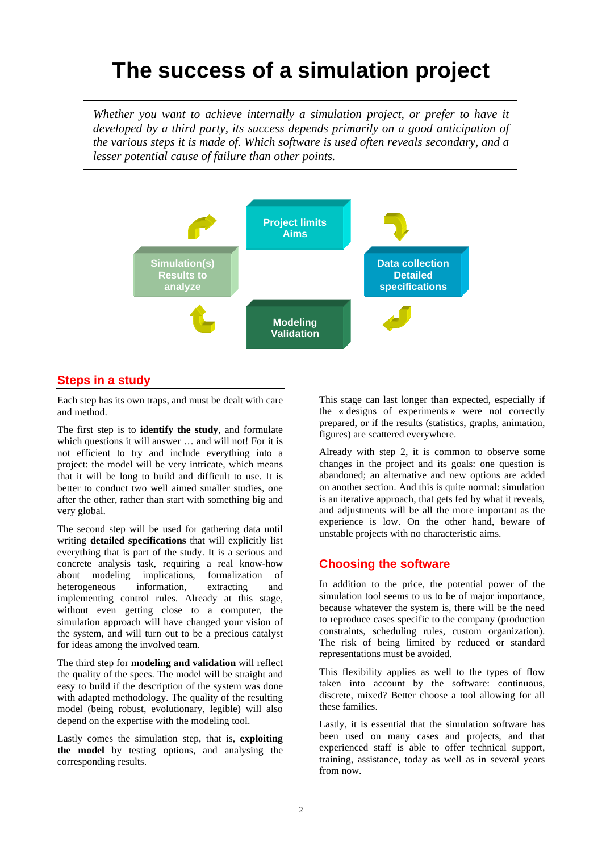# **The success of a simulation project**

*Whether you want to achieve internally a simulation project, or prefer to have it developed by a third party, its success depends primarily on a good anticipation of the various steps it is made of. Which software is used often reveals secondary, and a lesser potential cause of failure than other points.* 



# **Steps in a study**

Each step has its own traps, and must be dealt with care and method.

The first step is to **identify the study**, and formulate which questions it will answer … and will not! For it is not efficient to try and include everything into a project: the model will be very intricate, which means that it will be long to build and difficult to use. It is better to conduct two well aimed smaller studies, one after the other, rather than start with something big and very global.

The second step will be used for gathering data until writing **detailed specifications** that will explicitly list everything that is part of the study. It is a serious and concrete analysis task, requiring a real know-how about modeling implications, formalization of heterogeneous information, extracting and implementing control rules. Already at this stage, without even getting close to a computer, the simulation approach will have changed your vision of the system, and will turn out to be a precious catalyst for ideas among the involved team.

The third step for **modeling and validation** will reflect the quality of the specs. The model will be straight and easy to build if the description of the system was done with adapted methodology. The quality of the resulting model (being robust, evolutionary, legible) will also depend on the expertise with the modeling tool.

Lastly comes the simulation step, that is, **exploiting the model** by testing options, and analysing the corresponding results.

This stage can last longer than expected, especially if the « designs of experiments » were not correctly prepared, or if the results (statistics, graphs, animation, figures) are scattered everywhere.

Already with step 2, it is common to observe some changes in the project and its goals: one question is abandoned; an alternative and new options are added on another section. And this is quite normal: simulation is an iterative approach, that gets fed by what it reveals, and adjustments will be all the more important as the experience is low. On the other hand, beware of unstable projects with no characteristic aims.

# **Choosing the software**

In addition to the price, the potential power of the simulation tool seems to us to be of major importance, because whatever the system is, there will be the need to reproduce cases specific to the company (production constraints, scheduling rules, custom organization). The risk of being limited by reduced or standard representations must be avoided.

This flexibility applies as well to the types of flow taken into account by the software: continuous, discrete, mixed? Better choose a tool allowing for all these families.

Lastly, it is essential that the simulation software has been used on many cases and projects, and that experienced staff is able to offer technical support, training, assistance, today as well as in several years from now.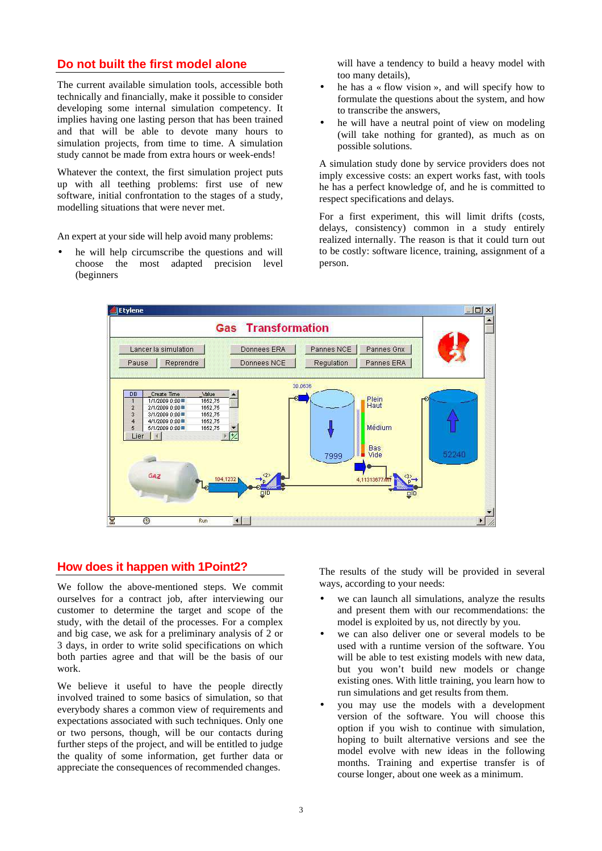# **Do not built the first model alone**

The current available simulation tools, accessible both technically and financially, make it possible to consider developing some internal simulation competency. It implies having one lasting person that has been trained and that will be able to devote many hours to simulation projects, from time to time. A simulation study cannot be made from extra hours or week-ends!

Whatever the context, the first simulation project puts up with all teething problems: first use of new software, initial confrontation to the stages of a study, modelling situations that were never met.

An expert at your side will help avoid many problems:

he will help circumscribe the questions and will choose the most adapted precision level (beginners

will have a tendency to build a heavy model with too many details),

- he has a  $\ast$  flow vision  $\ast$ , and will specify how to formulate the questions about the system, and how to transcribe the answers,
- he will have a neutral point of view on modeling (will take nothing for granted), as much as on possible solutions.

A simulation study done by service providers does not imply excessive costs: an expert works fast, with tools he has a perfect knowledge of, and he is committed to respect specifications and delays.

For a first experiment, this will limit drifts (costs, delays, consistency) common in a study entirely realized internally. The reason is that it could turn out to be costly: software licence, training, assignment of a person.



# **How does it happen with 1Point2?**

We follow the above-mentioned steps. We commit ourselves for a contract job, after interviewing our customer to determine the target and scope of the study, with the detail of the processes. For a complex and big case, we ask for a preliminary analysis of 2 or 3 days, in order to write solid specifications on which both parties agree and that will be the basis of our work.

We believe it useful to have the people directly involved trained to some basics of simulation, so that everybody shares a common view of requirements and expectations associated with such techniques. Only one or two persons, though, will be our contacts during further steps of the project, and will be entitled to judge the quality of some information, get further data or appreciate the consequences of recommended changes.

The results of the study will be provided in several ways, according to your needs:

- we can launch all simulations, analyze the results and present them with our recommendations: the model is exploited by us, not directly by you.
- we can also deliver one or several models to be used with a runtime version of the software. You will be able to test existing models with new data, but you won't build new models or change existing ones. With little training, you learn how to run simulations and get results from them.
- you may use the models with a development version of the software. You will choose this option if you wish to continue with simulation, hoping to built alternative versions and see the model evolve with new ideas in the following months. Training and expertise transfer is of course longer, about one week as a minimum.